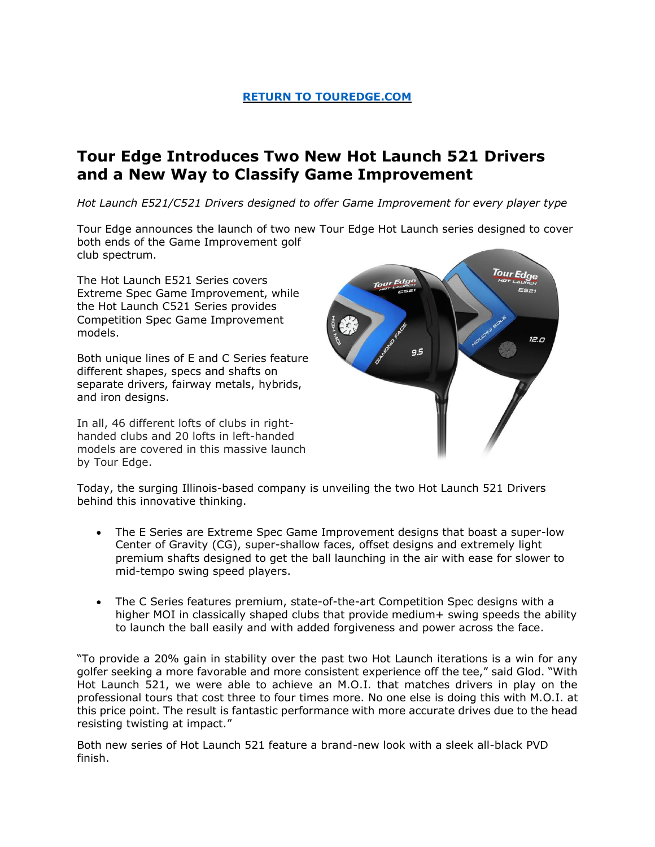## **[RETURN TO TOUREDGE.COM](https://www.touredge.com/)**

# **Tour Edge Introduces Two New Hot Launch 521 Drivers and a New Way to Classify Game Improvement**

*Hot Launch E521/C521 Drivers designed to offer Game Improvement for every player type* 

Tour Edge announces the launch of two new Tour Edge Hot Launch series designed to cover both ends of the Game Improvement golf club spectrum.

The Hot Launch E521 Series covers Extreme Spec Game Improvement, while the Hot Launch C521 Series provides Competition Spec Game Improvement models.

Both unique lines of E and C Series feature different shapes, specs and shafts on separate drivers, fairway metals, hybrids, and iron designs.

In all, 46 different lofts of clubs in righthanded clubs and 20 lofts in left-handed models are covered in this massive launch by Tour Edge.



Today, the surging Illinois-based company is unveiling the two Hot Launch 521 Drivers behind this innovative thinking.

- The E Series are Extreme Spec Game Improvement designs that boast a super-low Center of Gravity (CG), super-shallow faces, offset designs and extremely light premium shafts designed to get the ball launching in the air with ease for slower to mid-tempo swing speed players.
- The C Series features premium, state-of-the-art Competition Spec designs with a higher MOI in classically shaped clubs that provide medium+ swing speeds the ability to launch the ball easily and with added forgiveness and power across the face.

"To provide a 20% gain in stability over the past two Hot Launch iterations is a win for any golfer seeking a more favorable and more consistent experience off the tee," said Glod. "With Hot Launch 521, we were able to achieve an M.O.I. that matches drivers in play on the professional tours that cost three to four times more. No one else is doing this with M.O.I. at this price point. The result is fantastic performance with more accurate drives due to the head resisting twisting at impact."

Both new series of Hot Launch 521 feature a brand-new look with a sleek all-black PVD finish.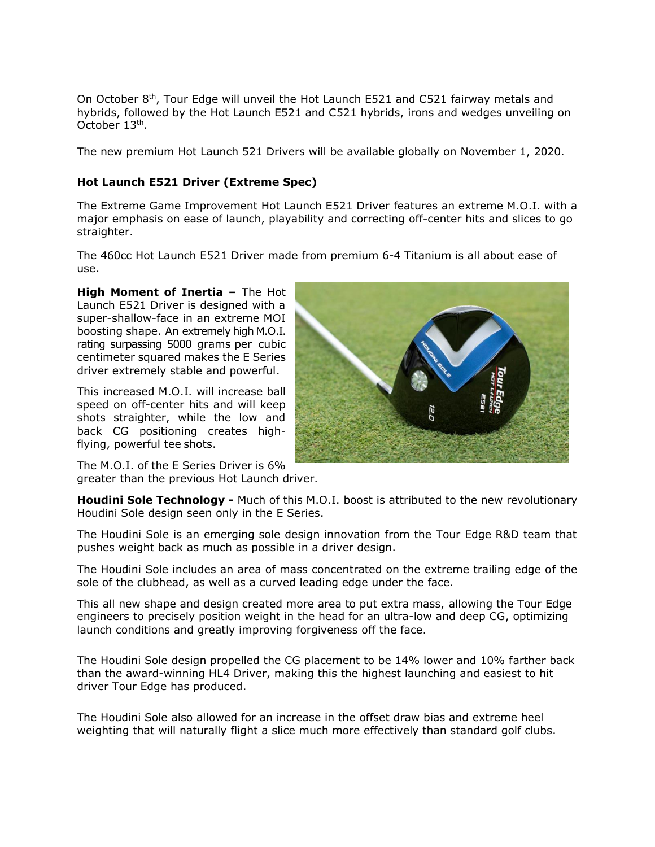On October 8<sup>th</sup>, Tour Edge will unveil the Hot Launch E521 and C521 fairway metals and hybrids, followed by the Hot Launch E521 and C521 hybrids, irons and wedges unveiling on October 13<sup>th</sup>.

The new premium Hot Launch 521 Drivers will be available globally on November 1, 2020.

## **Hot Launch E521 Driver (Extreme Spec)**

The Extreme Game Improvement Hot Launch E521 Driver features an extreme M.O.I. with a major emphasis on ease of launch, playability and correcting off-center hits and slices to go straighter.

The 460cc Hot Launch E521 Driver made from premium 6-4 Titanium is all about ease of use.

**High Moment of Inertia –** The Hot Launch E521 Driver is designed with a super-shallow-face in an extreme MOI boosting shape. An extremely high M.O.I. rating surpassing 5000 grams per cubic centimeter squared makes the E Series driver extremely stable and powerful.

This increased M.O.I. will increase ball speed on off-center hits and will keep shots straighter, while the low and back CG positioning creates highflying, powerful tee shots.



The M.O.I. of the E Series Driver is 6% greater than the previous Hot Launch driver.

**Houdini Sole Technology -** Much of this M.O.I. boost is attributed to the new revolutionary Houdini Sole design seen only in the E Series.

The Houdini Sole is an emerging sole design innovation from the Tour Edge R&D team that pushes weight back as much as possible in a driver design.

The Houdini Sole includes an area of mass concentrated on the extreme trailing edge of the sole of the clubhead, as well as a curved leading edge under the face.

This all new shape and design created more area to put extra mass, allowing the Tour Edge engineers to precisely position weight in the head for an ultra-low and deep CG, optimizing launch conditions and greatly improving forgiveness off the face.

The Houdini Sole design propelled the CG placement to be 14% lower and 10% farther back than the award-winning HL4 Driver, making this the highest launching and easiest to hit driver Tour Edge has produced.

The Houdini Sole also allowed for an increase in the offset draw bias and extreme heel weighting that will naturally flight a slice much more effectively than standard golf clubs.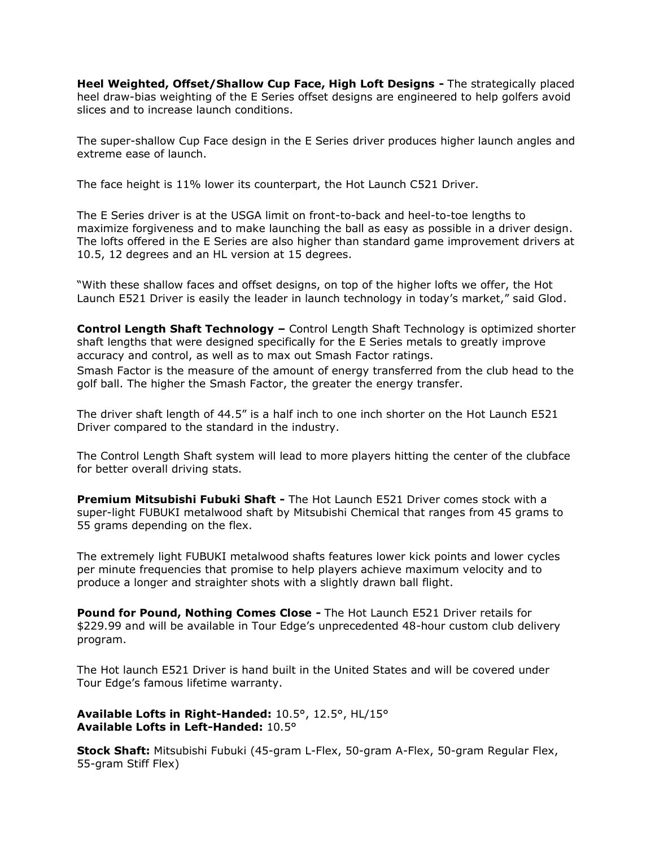**Heel Weighted, Offset/Shallow Cup Face, High Loft Designs -** The strategically placed heel draw-bias weighting of the E Series offset designs are engineered to help golfers avoid slices and to increase launch conditions.

The super-shallow Cup Face design in the E Series driver produces higher launch angles and extreme ease of launch.

The face height is 11% lower its counterpart, the Hot Launch C521 Driver.

The E Series driver is at the USGA limit on front-to-back and heel-to-toe lengths to maximize forgiveness and to make launching the ball as easy as possible in a driver design. The lofts offered in the E Series are also higher than standard game improvement drivers at 10.5, 12 degrees and an HL version at 15 degrees.

"With these shallow faces and offset designs, on top of the higher lofts we offer, the Hot Launch E521 Driver is easily the leader in launch technology in today's market," said Glod.

**Control Length Shaft Technology –** Control Length Shaft Technology is optimized shorter shaft lengths that were designed specifically for the E Series metals to greatly improve accuracy and control, as well as to max out Smash Factor ratings. Smash Factor is the measure of the amount of energy transferred from the club head to the golf ball. The higher the Smash Factor, the greater the energy transfer.

The driver shaft length of 44.5" is a half inch to one inch shorter on the Hot Launch E521 Driver compared to the standard in the industry.

The Control Length Shaft system will lead to more players hitting the center of the clubface for better overall driving stats.

**Premium Mitsubishi Fubuki Shaft -** The Hot Launch E521 Driver comes stock with a super-light FUBUKI metalwood shaft by Mitsubishi Chemical that ranges from 45 grams to 55 grams depending on the flex.

The extremely light FUBUKI metalwood shafts features lower kick points and lower cycles per minute frequencies that promise to help players achieve maximum velocity and to produce a longer and straighter shots with a slightly drawn ball flight.

**Pound for Pound, Nothing Comes Close -** The Hot Launch E521 Driver retails for \$229.99 and will be available in Tour Edge's unprecedented 48-hour custom club delivery program.

The Hot launch E521 Driver is hand built in the United States and will be covered under Tour Edge's famous lifetime warranty.

**Available Lofts in Right-Handed:** 10.5°, 12.5°, HL/15° **Available Lofts in Left-Handed:** 10.5°

**Stock Shaft:** Mitsubishi Fubuki (45-gram L-Flex, 50-gram A-Flex, 50-gram Regular Flex, 55-gram Stiff Flex)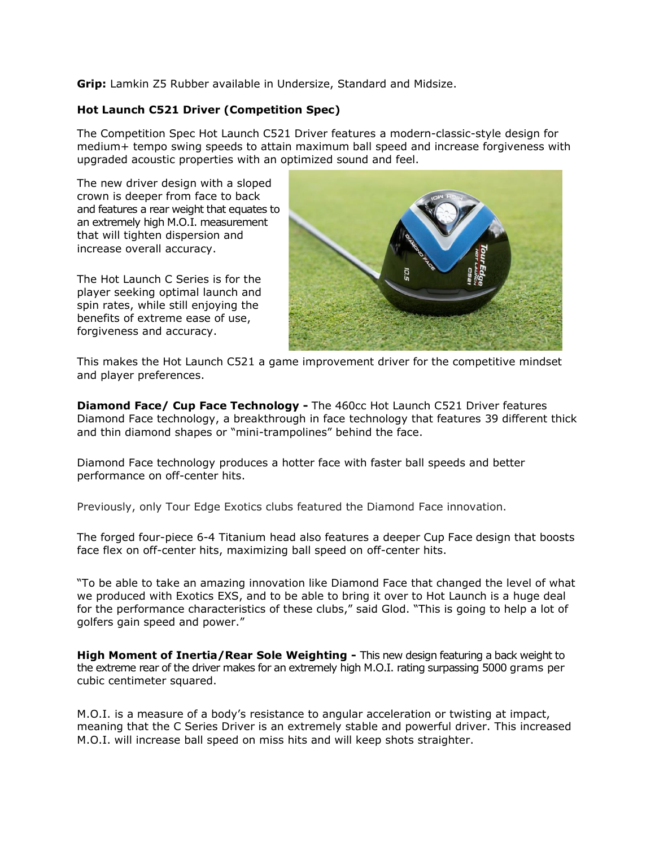**Grip:** Lamkin Z5 Rubber available in Undersize, Standard and Midsize.

### **Hot Launch C521 Driver (Competition Spec)**

The Competition Spec Hot Launch C521 Driver features a modern-classic-style design for medium+ tempo swing speeds to attain maximum ball speed and increase forgiveness with upgraded acoustic properties with an optimized sound and feel.

The new driver design with a sloped crown is deeper from face to back and features a rear weight that equates to an extremely high M.O.I. measurement that will tighten dispersion and increase overall accuracy.

The Hot Launch C Series is for the player seeking optimal launch and spin rates, while still enjoying the benefits of extreme ease of use, forgiveness and accuracy.



This makes the Hot Launch C521 a game improvement driver for the competitive mindset and player preferences.

**Diamond Face/ Cup Face Technology -** The 460cc Hot Launch C521 Driver features Diamond Face technology, a breakthrough in face technology that features 39 different thick and thin diamond shapes or "mini-trampolines" behind the face.

Diamond Face technology produces a hotter face with faster ball speeds and better performance on off-center hits.

Previously, only Tour Edge Exotics clubs featured the Diamond Face innovation.

The forged four-piece 6-4 Titanium head also features a deeper Cup Face design that boosts face flex on off-center hits, maximizing ball speed on off-center hits.

"To be able to take an amazing innovation like Diamond Face that changed the level of what we produced with Exotics EXS, and to be able to bring it over to Hot Launch is a huge deal for the performance characteristics of these clubs," said Glod. "This is going to help a lot of golfers gain speed and power."

**High Moment of Inertia/Rear Sole Weighting -** This new design featuring a back weight to the extreme rear of the driver makes for an extremely high M.O.I. rating surpassing 5000 grams per cubic centimeter squared.

M.O.I. is a measure of a body's resistance to angular acceleration or twisting at impact, meaning that the C Series Driver is an extremely stable and powerful driver. This increased M.O.I. will increase ball speed on miss hits and will keep shots straighter.